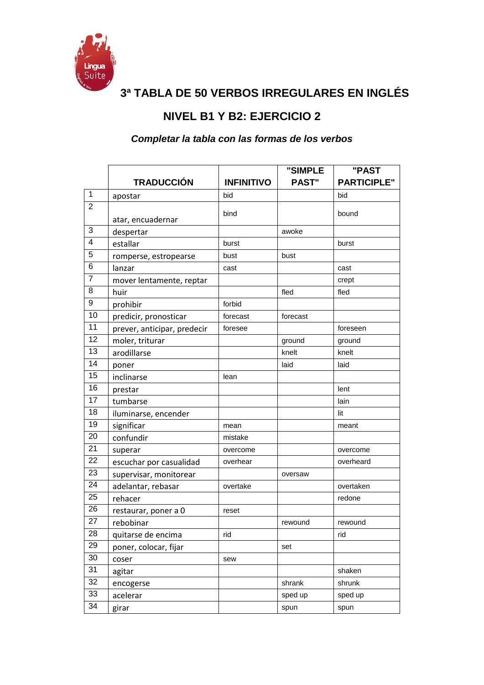

**3ª TABLA DE 50 VERBOS IRREGULARES EN INGLÉS**

## **NIVEL B1 Y B2: EJERCICIO 2**

## *Completar la tabla con las formas de los verbos*

|                |                             |                   | "SIMPLE      | "PAST              |
|----------------|-----------------------------|-------------------|--------------|--------------------|
|                | <b>TRADUCCIÓN</b>           | <b>INFINITIVO</b> | <b>PAST"</b> | <b>PARTICIPLE"</b> |
| $\mathbf{1}$   | apostar                     | bid               |              | bid                |
| $\overline{2}$ | atar, encuadernar           | bind              |              | bound              |
| 3              | despertar                   |                   | awoke        |                    |
| 4              | estallar                    | burst             |              | burst              |
| 5              | romperse, estropearse       | bust              | bust         |                    |
| 6              | lanzar                      | cast              |              | cast               |
| $\overline{7}$ | mover lentamente, reptar    |                   |              | crept              |
| 8              | huir                        |                   | fled         | fled               |
| 9              | prohibir                    | forbid            |              |                    |
| 10             | predicir, pronosticar       | forecast          | forecast     |                    |
| 11             | prever, anticipar, predecir | foresee           |              | foreseen           |
| 12             | moler, triturar             |                   | ground       | ground             |
| 13             | arodillarse                 |                   | knelt        | knelt              |
| 14             | poner                       |                   | laid         | laid               |
| 15             | inclinarse                  | lean              |              |                    |
| 16             | prestar                     |                   |              | lent               |
| 17             | tumbarse                    |                   |              | lain               |
| 18             | iluminarse, encender        |                   |              | lit                |
| 19             | significar                  | mean              |              | meant              |
| 20             | confundir                   | mistake           |              |                    |
| 21             | superar                     | overcome          |              | overcome           |
| 22             | escuchar por casualidad     | overhear          |              | overheard          |
| 23             | supervisar, monitorear      |                   | oversaw      |                    |
| 24             | adelantar, rebasar          | overtake          |              | overtaken          |
| 25             | rehacer                     |                   |              | redone             |
| 26             | restaurar, poner a 0        | reset             |              |                    |
| 27             | rebobinar                   |                   | rewound      | rewound            |
| 28             | quitarse de encima          | rid               |              | rid                |
| 29             | poner, colocar, fijar       |                   | set          |                    |
| 30             | coser                       | sew               |              |                    |
| 31             | agitar                      |                   |              | shaken             |
| 32             | encogerse                   |                   | shrank       | shrunk             |
| 33             | acelerar                    |                   | sped up      | sped up            |
| 34             | girar                       |                   | spun         | spun               |